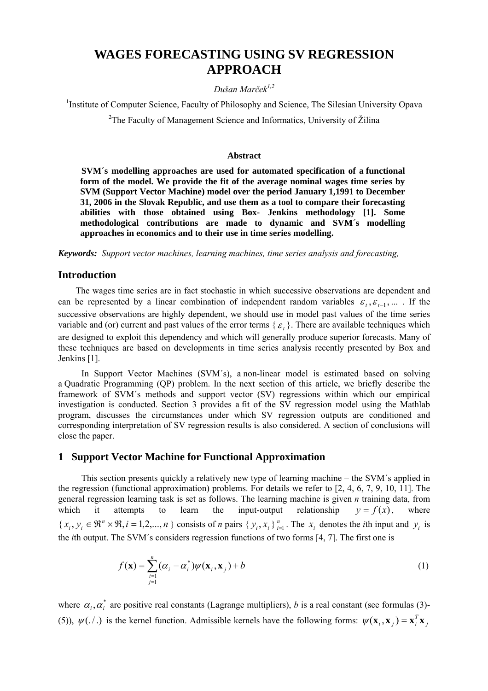# **WAGES FORECASTING USING SV REGRESSION APPROACH**

#### *Dušan Marček1,2*

<sup>1</sup>Institute of Computer Science, Faculty of Philosophy and Science, The Silesian University Opava

<sup>2</sup>The Faculty of Management Science and Informatics, University of Žilina

#### **Abstract**

**SVM´s modelling approaches are used for automated specification of a functional form of the model. We provide the fit of the average nominal wages time series by SVM (Support Vector Machine) model over the period January 1,1991 to December 31, 2006 in the Slovak Republic, and use them as a tool to compare their forecasting abilities with those obtained using Box- Jenkins methodology [1]. Some methodological contributions are made to dynamic and SVM´s modelling approaches in economics and to their use in time series modelling.** 

*Keywords: Support vector machines, learning machines, time series analysis and forecasting,* 

#### **Introduction**

The wages time series are in fact stochastic in which successive observations are dependent and can be represented by a linear combination of independent random variables  $\varepsilon_t$ ,  $\varepsilon_{t-1}$ , ... . If the successive observations are highly dependent, we should use in model past values of the time series variable and (or) current and past values of the error terms  $\{\varepsilon, \}$ . There are available techniques which are designed to exploit this dependency and which will generally produce superior forecasts. Many of these techniques are based on developments in time series analysis recently presented by Box and Jenkins [1].

In Support Vector Machines (SVM´s), a non-linear model is estimated based on solving a Quadratic Programming (QP) problem. In the next section of this article, we briefly describe the framework of SVM´s methods and support vector (SV) regressions within which our empirical investigation is conducted. Section 3 provides a fit of the SV regression model using the Mathlab program, discusses the circumstances under which SV regression outputs are conditioned and corresponding interpretation of SV regression results is also considered. A section of conclusions will close the paper.

### **1 Support Vector Machine for Functional Approximation**

This section presents quickly a relatively new type of learning machine – the SVM´s applied in the regression (functional approximation) problems. For details we refer to [2, 4, 6, 7, 9, 10, 11]. The general regression learning task is set as follows. The learning machine is given *n* training data, from which it attempts to learn the input-output relationship  $y = f(x)$ , where  $\{x_i, y_i \in \mathbb{R}^n \times \mathbb{R}, i = 1, 2, ..., n\}$  consists of *n* pairs  $\{y_i, x_i\}_{i=1}^n$ . The  $x_i$  denotes the *i*th input and  $y_i$  is the *i*th output. The SVM´s considers regression functions of two forms [4, 7]. The first one is  $y = f(x)$ .

$$
f(\mathbf{x}) = \sum_{\substack{i=1 \ i=1}}^{n} (\alpha_i - \alpha_i^*) \psi(\mathbf{x}_i, \mathbf{x}_j) + b
$$
 (1)

where  $\alpha_i, \alpha_i^*$  are positive real constants (Lagrange multipliers), *b* is a real constant (see formulas (3)-(5)),  $\psi(\cdot)$  is the kernel function. Admissible kernels have the following forms:  $\psi(\mathbf{x}_i, \mathbf{x}_j) = \mathbf{x}_i^T \mathbf{x}_j$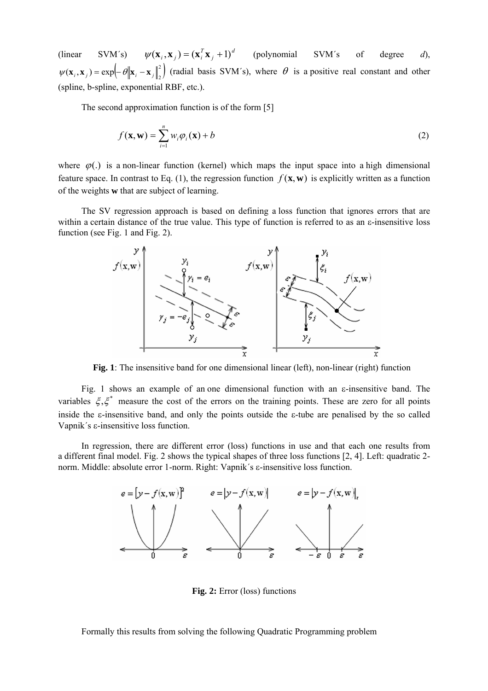(linear SVM´s)  $\psi(\mathbf{x}_i, \mathbf{x}_j) = (\mathbf{x}_i^T \mathbf{x}_j + 1)^d$  (polynomial SVM´s of degree *d*),  $\psi(\mathbf{x}_i, \mathbf{x}_j) = (\mathbf{x}_i^T \mathbf{x}_j + 1)$  $\psi(\mathbf{x}_i, \mathbf{x}_j) = \exp\left(-\theta \|\mathbf{x}_i - \mathbf{x}_j\|^2\right)$  (radial basis SVM's), where  $\theta$  is a positive real constant and other (spline, b-spline, exponential RBF, etc.).

The second approximation function is of the form [5]

$$
f(\mathbf{x}, \mathbf{w}) = \sum_{i=1}^{n} w_i \varphi_i(\mathbf{x}) + b
$$
 (2)

where  $\varphi$ (.) is a non-linear function (kernel) which maps the input space into a high dimensional feature space. In contrast to Eq. (1), the regression function  $f(\mathbf{x}, \mathbf{w})$  is explicitly written as a function of the weights **w** that are subject of learning.

The SV regression approach is based on defining a loss function that ignores errors that are within a certain distance of the true value. This type of function is referred to as an ε-insensitive loss function (see Fig. 1 and Fig. 2).



Fig. 1: The insensitive band for one dimensional linear (left), non-linear (right) function

Fig. 1 shows an example of an one dimensional function with an  $\varepsilon$ -insensitive band. The variables  $\xi$ , $\xi^*$  measure the cost of the errors on the training points. These are zero for all points inside the ε-insensitive band, and only the points outside the ε-tube are penalised by the so called Vapnik´s ε-insensitive loss function.

In regression, there are different error (loss) functions in use and that each one results from a different final model. Fig. 2 shows the typical shapes of three loss functions [2, 4]. Left: quadratic 2 norm. Middle: absolute error 1-norm. Right: Vapnik´s ε-insensitive loss function.



**Fig. 2:** Error (loss) functions

Formally this results from solving the following Quadratic Programming problem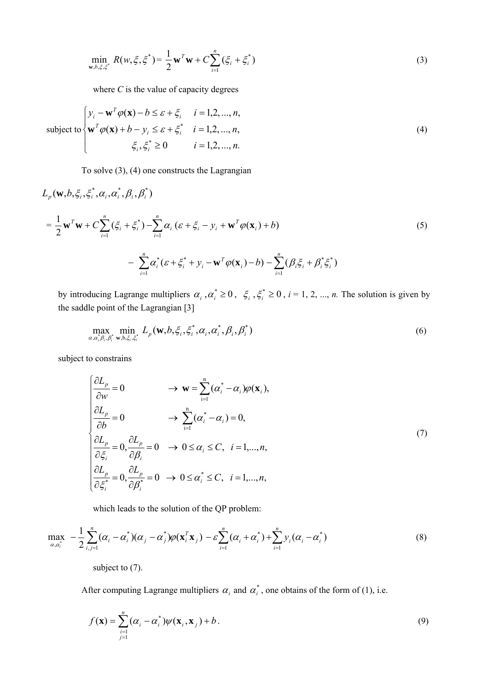$$
\min_{\mathbf{w}, b, \xi, \xi^*} R(w, \xi, \xi^*) = \frac{1}{2} \mathbf{w}^T \mathbf{w} + C \sum_{i=1}^n (\xi_i + \xi_i^*)
$$
\n(3)

where *C* is the value of capacity degrees

subject to 
$$
\begin{cases} y_i - \mathbf{w}^T \varphi(\mathbf{x}) - b \le \varepsilon + \xi_i & i = 1, 2, ..., n, \\ \mathbf{w}^T \varphi(\mathbf{x}) + b - y_i \le \varepsilon + \xi_i^* & i = 1, 2, ..., n, \\ \xi_i, \xi_i^* \ge 0 & i = 1, 2, ..., n. \end{cases}
$$
 (4)

To solve (3), (4) one constructs the Lagrangian

$$
L_{p}(\mathbf{w}, b, \xi_{i}, \xi_{i}^{*}, \alpha_{i}, \alpha_{i}^{*}, \beta_{i}, \beta_{i}^{*})
$$
\n
$$
= \frac{1}{2} \mathbf{w}^{T} \mathbf{w} + C \sum_{i=1}^{n} (\xi_{i} + \xi_{i}^{*}) - \sum_{i=1}^{n} \alpha_{i} (\varepsilon + \xi_{i} - y_{i} + \mathbf{w}^{T} \varphi(\mathbf{x}_{i}) + b)
$$
\n
$$
- \sum_{i=1}^{n} \alpha_{i}^{*} (\varepsilon + \xi_{i}^{*} + y_{i} - \mathbf{w}^{T} \varphi(\mathbf{x}_{i}) - b) - \sum_{i=1}^{n} (\beta_{i} \xi_{i} + \beta_{i}^{*} \xi_{i}^{*})
$$
\n(5)

by introducing Lagrange multipliers  $\alpha_i$ ,  $\alpha_i^* \ge 0$ ,  $\xi_i$ ,  $\xi_i^* \ge 0$ ,  $i = 1, 2, ..., n$ . The solution is given by the saddle point of the Lagrangian [3]

$$
\max_{\alpha,\alpha_i^{\ast}\beta_i,\beta_i^{\ast}} \min_{\mathbf{w},\mathbf{b},\xi_i,\xi_i^{\ast}} L_p(\mathbf{w},b,\xi_i,\xi_i^{\ast},\alpha_i,\alpha_i^{\ast},\beta_i,\beta_i^{\ast})
$$
(6)

subject to constrains

$$
\begin{cases}\n\frac{\partial L_p}{\partial w} = 0 & \to \mathbf{w} = \sum_{i=1}^n (\alpha_i^* - \alpha_i) \varphi(\mathbf{x}_i), \\
\frac{\partial L_p}{\partial b} = 0 & \to \sum_{i=1}^n (\alpha_i^* - \alpha_i) = 0, \\
\frac{\partial L_p}{\partial \xi_i} = 0, \frac{\partial L_p}{\partial \beta_i} = 0 & \to 0 \le \alpha_i \le C, \quad i = 1, ..., n, \\
\frac{\partial L_p}{\partial \xi_i^*} = 0, \frac{\partial L_p}{\partial \beta_i^*} = 0 & \to 0 \le \alpha_i^* \le C, \quad i = 1, ..., n,\n\end{cases} (7)
$$

which leads to the solution of the QP problem:

$$
\max_{\alpha,\alpha_i^*} \quad -\frac{1}{2} \sum_{i,j=1}^n (\alpha_i - \alpha_i^*)(\alpha_j - \alpha_j^*)\varphi(\mathbf{x}_i^T\mathbf{x}_j) - \varepsilon \sum_{i=1}^n (\alpha_i + \alpha_i^*) + \sum_{i=1}^n y_i(\alpha_i - \alpha_i^*)
$$
\n
$$
\tag{8}
$$

subject to  $(7)$ .

After computing Lagrange multipliers  $\alpha_i$  and  $\alpha_i^*$ , one obtains of the form of (1), i.e.

$$
f(\mathbf{x}) = \sum_{\substack{i=1 \ j=1}}^{n} (\alpha_i - \alpha_i^*) \psi(\mathbf{x}_i, \mathbf{x}_j) + b.
$$
 (9)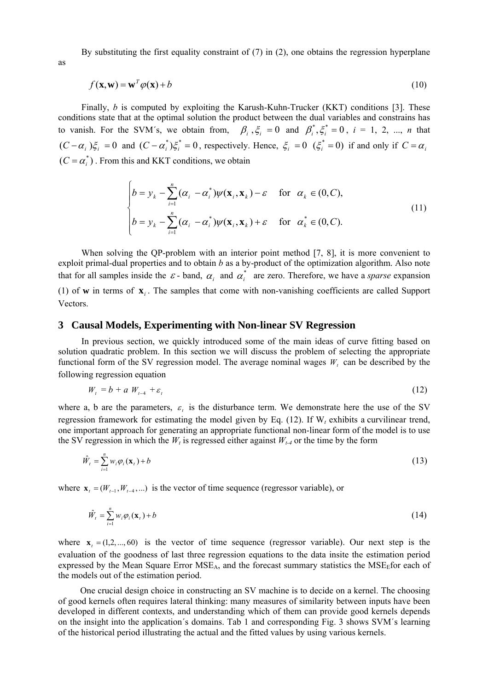By substituting the first equality constraint of (7) in (2), one obtains the regression hyperplane

$$
f(\mathbf{x}, \mathbf{w}) = \mathbf{w}^T \varphi(\mathbf{x}) + b \tag{10}
$$

Finally, *b* is computed by exploiting the Karush-Kuhn-Trucker (KKT) conditions [3]. These conditions state that at the optimal solution the product between the dual variables and constrains has to vanish. For the SVM's, we obtain from,  $\beta_i$ ,  $\xi_i = 0$  and  $\beta_i^*, \xi_i^* = 0$ ,  $i = 1, 2, ..., n$  that  $(C - \alpha_i) \xi_i = 0$  and  $(C - \alpha_i^*) \xi_i^* = 0$ , respectively. Hence,  $\xi_i = 0$   $(\xi_i^* = 0)$  if and only if  $C = \alpha_i$  $(C = \alpha_i^*)$ . From this and KKT conditions, we obtain

$$
\begin{cases}\nb = y_k - \sum_{i=1}^n (\alpha_i - \alpha_i^*) \psi(\mathbf{x}_i, \mathbf{x}_k) - \varepsilon & \text{for } \alpha_k \in (0, C), \\
b = y_k - \sum_{i=1}^n (\alpha_i - \alpha_i^*) \psi(\mathbf{x}_i, \mathbf{x}_k) + \varepsilon & \text{for } \alpha_k^* \in (0, C).\n\end{cases}
$$
\n(11)

When solving the QP-problem with an interior point method [7, 8], it is more convenient to exploit primal-dual properties and to obtain *b* as a by-product of the optimization algorithm. Also note that for all samples inside the  $\varepsilon$ -band,  $\alpha_i$  and  $\alpha_i^*$  are zero. Therefore, we have a *sparse* expansion (1) of **w** in terms of  $\mathbf{x}_i$ . The samples that come with non-vanishing coefficients are called Support Vectors.

#### **3 Causal Models, Experimenting with Non-linear SV Regression**

In previous section, we quickly introduced some of the main ideas of curve fitting based on solution quadratic problem. In this section we will discuss the problem of selecting the appropriate functional form of the SV regression model. The average nominal wages  $W_t$  can be described by the following regression equation

$$
W_t = b + a W_{t-4} + \varepsilon_t \tag{12}
$$

where a, b are the parameters,  $\varepsilon$  is the disturbance term. We demonstrate here the use of the SV regression framework for estimating the model given by Eq. (12). If W*t* exhibits a curvilinear trend, one important approach for generating an appropriate functional non-linear form of the model is to use the SV regression in which the  $W_t$  is regressed either against  $W_{t-4}$  or the time by the form

$$
\hat{W}_t = \sum_{i=1}^n w_i \varphi_i(\mathbf{x}_t) + b \tag{13}
$$

where  $\mathbf{x}_{t} = (W_{t-1}, W_{t-4}, \ldots)$  is the vector of time sequence (regressor variable), or

$$
\hat{W}_t = \sum_{i=1}^n w_i \varphi_i(\mathbf{x}_t) + b \tag{14}
$$

where  $\mathbf{x}_i = (1, 2, \dots, 60)$  is the vector of time sequence (regressor variable). Our next step is the evaluation of the goodness of last three regression equations to the data insite the estimation period expressed by the Mean Square Error  $MSE<sub>A</sub>$ , and the forecast summary statistics the  $MSE<sub>E</sub>$ for each of the models out of the estimation period.

One crucial design choice in constructing an SV machine is to decide on a kernel. The choosing of good kernels often requires lateral thinking: many measures of similarity between inputs have been developed in different contexts, and understanding which of them can provide good kernels depends on the insight into the application´s domains. Tab 1 and corresponding Fig. 3 shows SVM´s learning of the historical period illustrating the actual and the fitted values by using various kernels.

as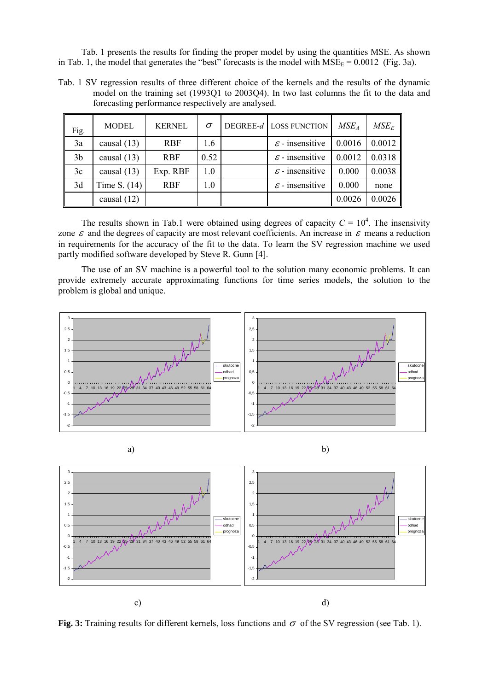Tab. 1 presents the results for finding the proper model by using the quantities MSE. As shown in Tab. 1, the model that generates the "best" forecasts is the model with  $MSE_F = 0.0012$  (Fig. 3a).

Tab. 1 SV regression results of three different choice of the kernels and the results of the dynamic model on the training set (1993Q1 to 2003Q4). In two last columns the fit to the data and forecasting performance respectively are analysed.

| Fig.           | <b>MODEL</b>   | <b>KERNEL</b> | $\sigma$ | DEGREE- $d$ LOSS FUNCTION   | MSE <sub>A</sub> | $MSE_E$ |
|----------------|----------------|---------------|----------|-----------------------------|------------------|---------|
| 3a             | causal $(13)$  | <b>RBF</b>    | 1.6      | $\varepsilon$ - insensitive | 0.0016           | 0.0012  |
| 3 <sub>b</sub> | causal $(13)$  | <b>RBF</b>    | 0.52     | $\varepsilon$ - insensitive | 0.0012           | 0.0318  |
| 3c             | causal $(13)$  | Exp. RBF      | 1.0      | $\varepsilon$ - insensitive | 0.000            | 0.0038  |
| 3d             | Time S. $(14)$ | <b>RBF</b>    | 1.0      | $\varepsilon$ - insensitive | 0.000            | none    |
|                | causal $(12)$  |               |          |                             | 0.0026           | 0.0026  |

The results shown in Tab.1 were obtained using degrees of capacity  $C = 10<sup>4</sup>$ . The insensivity zone  $\varepsilon$  and the degrees of capacity are most relevant coefficients. An increase in  $\varepsilon$  means a reduction in requirements for the accuracy of the fit to the data. To learn the SV regression machine we used partly modified software developed by Steve R. Gunn [4].

The use of an SV machine is a powerful tool to the solution many economic problems. It can provide extremely accurate approximating functions for time series models, the solution to the problem is global and unique.





**Fig. 3:** Training results for different kernels, loss functions and  $\sigma$  of the SV regression (see Tab. 1).